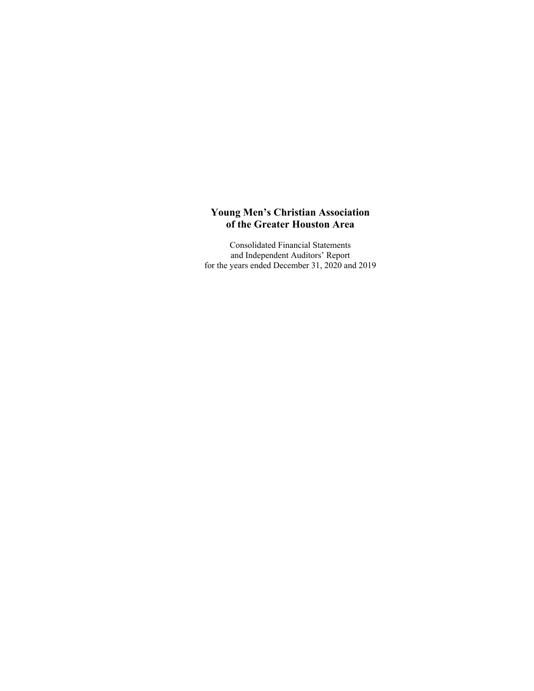Consolidated Financial Statements and Independent Auditors' Report for the years ended December 31, 2020 and 2019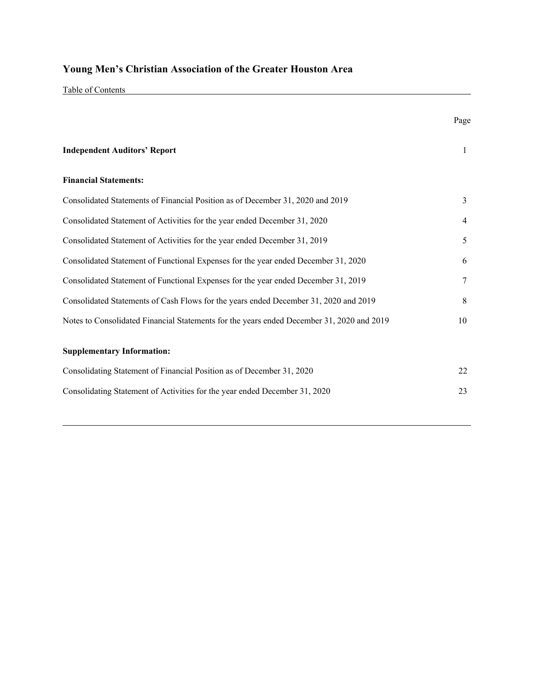Table of Contents

|                                                                                           | Page         |
|-------------------------------------------------------------------------------------------|--------------|
| <b>Independent Auditors' Report</b>                                                       | $\mathbf{1}$ |
| <b>Financial Statements:</b>                                                              |              |
| Consolidated Statements of Financial Position as of December 31, 2020 and 2019            | 3            |
| Consolidated Statement of Activities for the year ended December 31, 2020                 | 4            |
| Consolidated Statement of Activities for the year ended December 31, 2019                 | 5            |
| Consolidated Statement of Functional Expenses for the year ended December 31, 2020        | 6            |
| Consolidated Statement of Functional Expenses for the year ended December 31, 2019        | 7            |
| Consolidated Statements of Cash Flows for the years ended December 31, 2020 and 2019      | 8            |
| Notes to Consolidated Financial Statements for the years ended December 31, 2020 and 2019 | 10           |
| <b>Supplementary Information:</b>                                                         |              |
| Consolidating Statement of Financial Position as of December 31, 2020                     | 22           |
| Consolidating Statement of Activities for the year ended December 31, 2020                | 23           |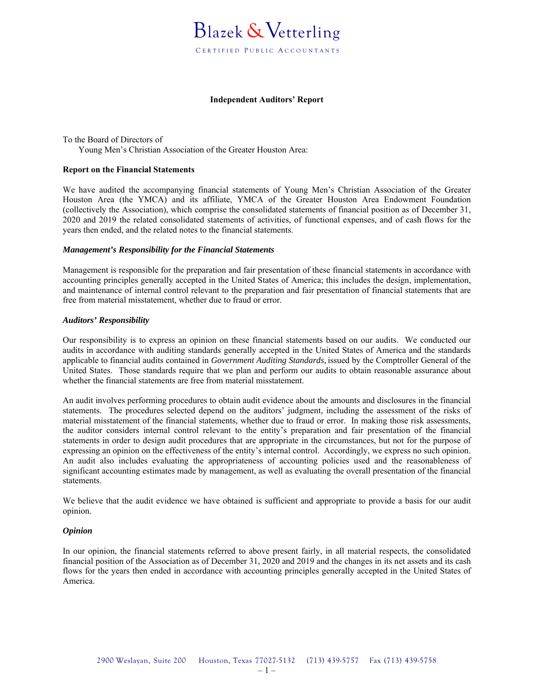#### **Independent Auditors' Report**

To the Board of Directors of Young Men's Christian Association of the Greater Houston Area:

#### **Report on the Financial Statements**

We have audited the accompanying financial statements of Young Men's Christian Association of the Greater Houston Area (the YMCA) and its affiliate, YMCA of the Greater Houston Area Endowment Foundation (collectively the Association), which comprise the consolidated statements of financial position as of December 31, 2020 and 2019 the related consolidated statements of activities, of functional expenses, and of cash flows for the years then ended, and the related notes to the financial statements.

#### *Management's Responsibility for the Financial Statements*

Management is responsible for the preparation and fair presentation of these financial statements in accordance with accounting principles generally accepted in the United States of America; this includes the design, implementation, and maintenance of internal control relevant to the preparation and fair presentation of financial statements that are free from material misstatement, whether due to fraud or error.

#### *Auditors' Responsibility*

Our responsibility is to express an opinion on these financial statements based on our audits. We conducted our audits in accordance with auditing standards generally accepted in the United States of America and the standards applicable to financial audits contained in *Government Auditing Standards,* issued by the Comptroller General of the United States. Those standards require that we plan and perform our audits to obtain reasonable assurance about whether the financial statements are free from material misstatement.

An audit involves performing procedures to obtain audit evidence about the amounts and disclosures in the financial statements. The procedures selected depend on the auditors' judgment, including the assessment of the risks of material misstatement of the financial statements, whether due to fraud or error. In making those risk assessments, the auditor considers internal control relevant to the entity's preparation and fair presentation of the financial statements in order to design audit procedures that are appropriate in the circumstances, but not for the purpose of expressing an opinion on the effectiveness of the entity's internal control. Accordingly, we express no such opinion. An audit also includes evaluating the appropriateness of accounting policies used and the reasonableness of significant accounting estimates made by management, as well as evaluating the overall presentation of the financial statements.

We believe that the audit evidence we have obtained is sufficient and appropriate to provide a basis for our audit opinion.

#### *Opinion*

In our opinion, the financial statements referred to above present fairly, in all material respects, the consolidated financial position of the Association as of December 31, 2020 and 2019 and the changes in its net assets and its cash flows for the years then ended in accordance with accounting principles generally accepted in the United States of America.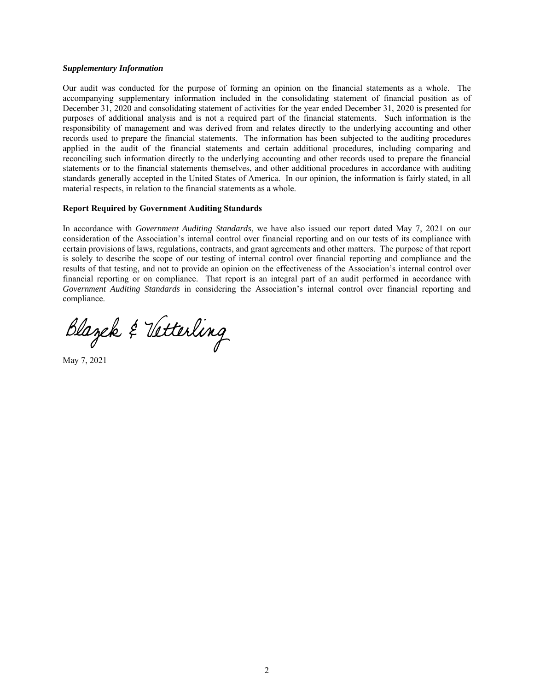#### *Supplementary Information*

Our audit was conducted for the purpose of forming an opinion on the financial statements as a whole. The accompanying supplementary information included in the consolidating statement of financial position as of December 31, 2020 and consolidating statement of activities for the year ended December 31, 2020 is presented for purposes of additional analysis and is not a required part of the financial statements. Such information is the responsibility of management and was derived from and relates directly to the underlying accounting and other records used to prepare the financial statements. The information has been subjected to the auditing procedures applied in the audit of the financial statements and certain additional procedures, including comparing and reconciling such information directly to the underlying accounting and other records used to prepare the financial statements or to the financial statements themselves, and other additional procedures in accordance with auditing standards generally accepted in the United States of America. In our opinion, the information is fairly stated, in all material respects, in relation to the financial statements as a whole.

#### **Report Required by Government Auditing Standards**

In accordance with *Government Auditing Standards*, we have also issued our report dated May 7, 2021 on our consideration of the Association's internal control over financial reporting and on our tests of its compliance with certain provisions of laws, regulations, contracts, and grant agreements and other matters. The purpose of that report is solely to describe the scope of our testing of internal control over financial reporting and compliance and the results of that testing, and not to provide an opinion on the effectiveness of the Association's internal control over financial reporting or on compliance. That report is an integral part of an audit performed in accordance with *Government Auditing Standards* in considering the Association's internal control over financial reporting and compliance.

Blazek & Vetterling

May 7, 2021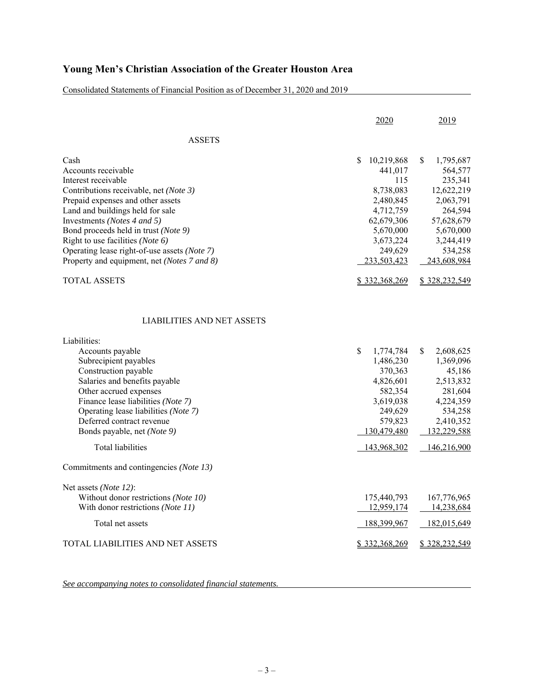Consolidated Statements of Financial Position as of December 31, 2020 and 2019

|                                              | 2020            | 2019            |
|----------------------------------------------|-----------------|-----------------|
| <b>ASSETS</b>                                |                 |                 |
| Cash                                         | S<br>10,219,868 | S<br>1,795,687  |
| Accounts receivable                          | 441,017         | 564,577         |
| Interest receivable                          | 115             | 235,341         |
| Contributions receivable, net (Note 3)       | 8,738,083       | 12,622,219      |
| Prepaid expenses and other assets            | 2,480,845       | 2,063,791       |
| Land and buildings held for sale             | 4,712,759       | 264,594         |
| Investments (Notes 4 and 5)                  | 62,679,306      | 57,628,679      |
| Bond proceeds held in trust (Note 9)         | 5,670,000       | 5,670,000       |
| Right to use facilities (Note 6)             | 3,673,224       | 3,244,419       |
| Operating lease right-of-use assets (Note 7) | 249,629         | 534,258         |
| Property and equipment, net (Notes 7 and 8)  | 233,503,423     | 243,608,984     |
| <b>TOTAL ASSETS</b>                          | \$332,368,269   | \$328,232,549   |
| <b>LIABILITIES AND NET ASSETS</b>            |                 |                 |
| Liabilities:                                 |                 |                 |
| Accounts payable                             | \$<br>1,774,784 | \$<br>2,608,625 |
| Subrecipient payables                        | 1,486,230       | 1,369,096       |
| Construction payable                         | 370,363         | 45,186          |
| Salaries and benefits payable                | 4,826,601       | 2,513,832       |
| Other accrued expenses                       | 582,354         | 281,604         |
| Finance lease liabilities (Note 7)           | 3,619,038       | 4,224,359       |
| Operating lease liabilities (Note 7)         | 249,629         | 534,258         |
| Deferred contract revenue                    | 579,823         | 2,410,352       |
| Bonds payable, net (Note 9)                  | 130,479,480     | 132,229,588     |
| <b>Total liabilities</b>                     | 143,968,302     | 146,216,900     |
| Commitments and contingencies (Note 13)      |                 |                 |
| Net assets (Note 12):                        |                 |                 |
| Without donor restrictions (Note 10)         | 175,440,793     | 167,776,965     |
| With donor restrictions (Note 11)            | 12,959,174      | 14,238,684      |
| Total net assets                             | 188,399,967     | 182,015,649     |
| TOTAL LIABILITIES AND NET ASSETS             | \$332,368,269   | \$328,232,549   |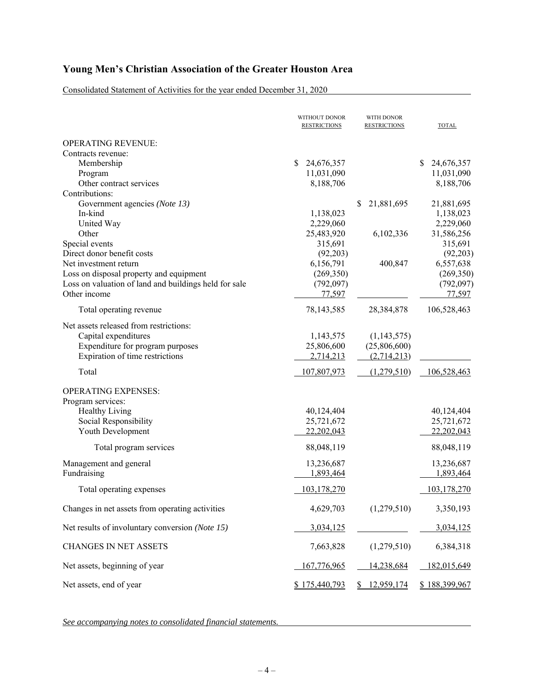Consolidated Statement of Activities for the year ended December 31, 2020

|                                                       | WITHOUT DONOR<br><b>RESTRICTIONS</b> | WITH DONOR<br><b>RESTRICTIONS</b> | <b>TOTAL</b>     |
|-------------------------------------------------------|--------------------------------------|-----------------------------------|------------------|
| <b>OPERATING REVENUE:</b>                             |                                      |                                   |                  |
| Contracts revenue:                                    |                                      |                                   |                  |
| Membership                                            | \$<br>24,676,357                     |                                   | \$<br>24,676,357 |
| Program                                               | 11,031,090                           |                                   | 11,031,090       |
| Other contract services                               | 8,188,706                            |                                   | 8,188,706        |
| Contributions:                                        |                                      |                                   |                  |
| Government agencies (Note 13)                         |                                      | 21,881,695<br>S                   | 21,881,695       |
| In-kind                                               | 1,138,023                            |                                   | 1,138,023        |
| United Way                                            | 2,229,060                            |                                   | 2,229,060        |
| Other                                                 | 25,483,920                           | 6,102,336                         | 31,586,256       |
| Special events                                        | 315,691                              |                                   | 315,691          |
| Direct donor benefit costs                            | (92,203)                             |                                   | (92,203)         |
| Net investment return                                 | 6,156,791                            | 400,847                           | 6,557,638        |
| Loss on disposal property and equipment               | (269,350)                            |                                   | (269, 350)       |
| Loss on valuation of land and buildings held for sale | (792, 097)                           |                                   | (792,097)        |
| Other income                                          | 77,597                               |                                   | 77,597           |
| Total operating revenue                               | 78,143,585                           | 28,384,878                        | 106,528,463      |
| Net assets released from restrictions:                |                                      |                                   |                  |
| Capital expenditures                                  | 1,143,575                            | (1,143,575)                       |                  |
| Expenditure for program purposes                      | 25,806,600                           | (25,806,600)                      |                  |
| Expiration of time restrictions                       | 2,714,213                            | (2,714,213)                       |                  |
| Total                                                 | 107,807,973                          | (1,279,510)                       | 106,528,463      |
|                                                       |                                      |                                   |                  |
| <b>OPERATING EXPENSES:</b>                            |                                      |                                   |                  |
| Program services:                                     |                                      |                                   |                  |
| <b>Healthy Living</b>                                 | 40,124,404                           |                                   | 40,124,404       |
| Social Responsibility                                 | 25,721,672                           |                                   | 25,721,672       |
| Youth Development                                     | 22,202,043                           |                                   | 22,202,043       |
| Total program services                                | 88,048,119                           |                                   | 88,048,119       |
| Management and general                                | 13,236,687                           |                                   | 13,236,687       |
| Fundraising                                           | 1,893,464                            |                                   | 1,893,464        |
|                                                       |                                      |                                   |                  |
| Total operating expenses                              | 103,178,270                          |                                   | 103,178,270      |
| Changes in net assets from operating activities       | 4,629,703                            | (1,279,510)                       | 3,350,193        |
| Net results of involuntary conversion (Note 15)       | 3,034,125                            |                                   | 3,034,125        |
| <b>CHANGES IN NET ASSETS</b>                          | 7,663,828                            | (1,279,510)                       | 6,384,318        |
| Net assets, beginning of year                         | 167,776,965                          | 14,238,684                        | 182,015,649      |
| Net assets, end of year                               | \$175,440,793                        | \$12,959,174                      | \$188,399,967    |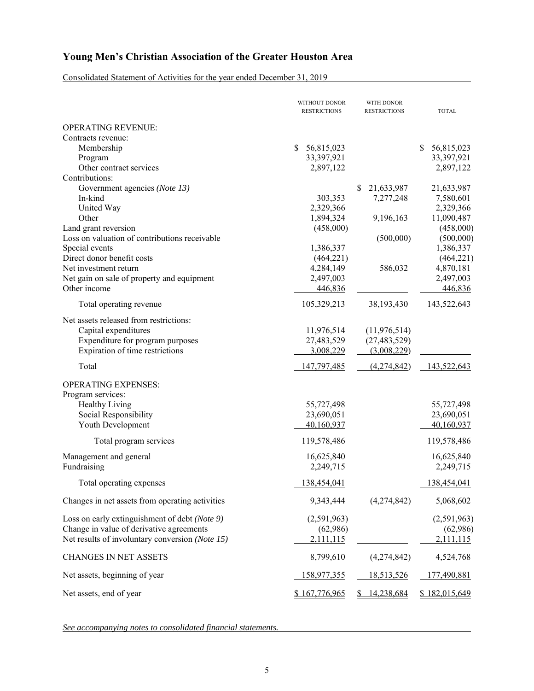Consolidated Statement of Activities for the year ended December 31, 2019

|                                                 | WITHOUT DONOR<br><b>RESTRICTIONS</b> | WITH DONOR<br><b>RESTRICTIONS</b> | TOTAL                    |
|-------------------------------------------------|--------------------------------------|-----------------------------------|--------------------------|
| <b>OPERATING REVENUE:</b>                       |                                      |                                   |                          |
| Contracts revenue:                              |                                      |                                   |                          |
| Membership                                      | \$<br>56,815,023                     |                                   | \$<br>56,815,023         |
| Program                                         | 33,397,921                           |                                   | 33,397,921               |
| Other contract services                         | 2,897,122                            |                                   | 2,897,122                |
| Contributions:                                  |                                      |                                   |                          |
| Government agencies (Note 13)                   |                                      | S.<br>21,633,987                  | 21,633,987               |
| In-kind                                         | 303,353                              | 7,277,248                         | 7,580,601                |
| United Way                                      | 2,329,366                            |                                   | 2,329,366                |
| Other                                           | 1,894,324                            | 9,196,163                         | 11,090,487               |
| Land grant reversion                            | (458,000)                            |                                   | (458,000)                |
| Loss on valuation of contributions receivable   |                                      | (500,000)                         | (500,000)                |
| Special events                                  | 1,386,337                            |                                   | 1,386,337                |
| Direct donor benefit costs                      | (464, 221)                           |                                   | (464, 221)               |
| Net investment return                           | 4,284,149                            | 586,032                           | 4,870,181                |
| Net gain on sale of property and equipment      | 2,497,003                            |                                   | 2,497,003                |
| Other income                                    | 446,836                              |                                   | 446,836                  |
| Total operating revenue                         | 105,329,213                          | 38,193,430                        | 143,522,643              |
|                                                 |                                      |                                   |                          |
| Net assets released from restrictions:          |                                      |                                   |                          |
| Capital expenditures                            | 11,976,514                           | (11, 976, 514)                    |                          |
| Expenditure for program purposes                | 27,483,529                           | (27, 483, 529)                    |                          |
| Expiration of time restrictions                 | 3,008,229                            | (3,008,229)                       |                          |
| Total                                           | 147,797,485                          | (4,274,842)                       | 143,522,643              |
| <b>OPERATING EXPENSES:</b>                      |                                      |                                   |                          |
| Program services:                               |                                      |                                   |                          |
| <b>Healthy Living</b>                           | 55,727,498                           |                                   |                          |
| Social Responsibility                           | 23,690,051                           |                                   | 55,727,498<br>23,690,051 |
|                                                 | 40,160,937                           |                                   | 40,160,937               |
| Youth Development                               |                                      |                                   |                          |
| Total program services                          | 119,578,486                          |                                   | 119,578,486              |
| Management and general                          | 16,625,840                           |                                   | 16,625,840               |
| Fundraising                                     | 2,249,715                            |                                   | 2,249,715                |
| Total operating expenses                        | 138,454,041                          |                                   | 138,454,041              |
| Changes in net assets from operating activities | 9,343,444                            | (4,274,842)                       | 5,068,602                |
|                                                 |                                      |                                   |                          |
| Loss on early extinguishment of debt (Note 9)   | (2,591,963)                          |                                   | (2,591,963)              |
| Change in value of derivative agreements        | (62,986)                             |                                   | (62,986)                 |
| Net results of involuntary conversion (Note 15) | 2,111,115                            |                                   | 2,111,115                |
| <b>CHANGES IN NET ASSETS</b>                    | 8,799,610                            | (4,274,842)                       | 4,524,768                |
| Net assets, beginning of year                   | 158,977,355                          | 18,513,526                        | 177,490,881              |
| Net assets, end of year                         | \$167,776,965                        | 14,238,684                        | \$182,015,649            |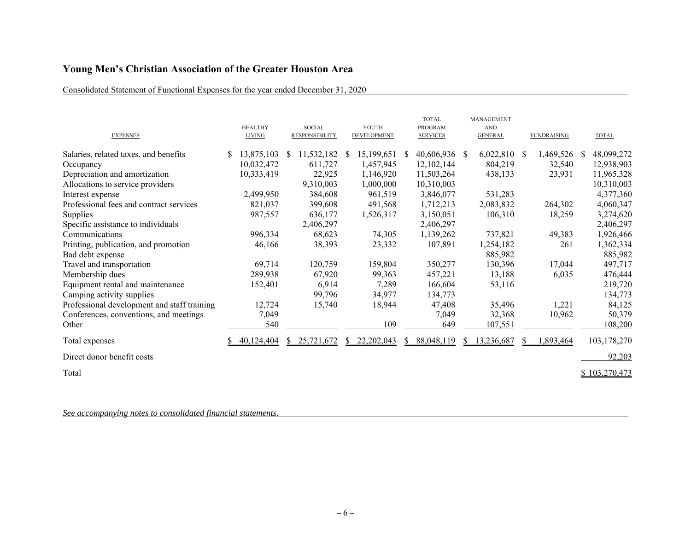## Consolidated Statement of Functional Expenses for the year ended December 31, 2020

| <b>EXPENSES</b>                             | <b>HEALTHY</b><br><b>LIVING</b> |              | <b>SOCIAL</b><br><b>RESPONSIBILITY</b> |              | YOUTH<br>DEVELOPMENT |    | <b>TOTAL</b><br><b>PROGRAM</b><br><b>SERVICES</b> | MANAGEMENT<br><b>AND</b><br><b>GENERAL</b> | <b>FUNDRAISING</b> |    | <b>TOTAL</b>  |
|---------------------------------------------|---------------------------------|--------------|----------------------------------------|--------------|----------------------|----|---------------------------------------------------|--------------------------------------------|--------------------|----|---------------|
| Salaries, related taxes, and benefits       | 13,875,103                      | <sup>S</sup> | 11,532,182                             | <sup>S</sup> | 15,199,651           | S. | 40,606,936 \$                                     | 6,022,810 \$                               | 1,469,526          | S. | 48,099,272    |
| Occupancy                                   | 10,032,472                      |              | 611,727                                |              | 1,457,945            |    | 12,102,144                                        | 804,219                                    | 32,540             |    | 12,938,903    |
| Depreciation and amortization               | 10,333,419                      |              | 22,925                                 |              | 1,146,920            |    | 11,503,264                                        | 438,133                                    | 23,931             |    | 11,965,328    |
| Allocations to service providers            |                                 |              | 9,310,003                              |              | 1,000,000            |    | 10,310,003                                        |                                            |                    |    | 10,310,003    |
| Interest expense                            | 2,499,950                       |              | 384,608                                |              | 961,519              |    | 3,846,077                                         | 531,283                                    |                    |    | 4,377,360     |
| Professional fees and contract services     | 821,037                         |              | 399,608                                |              | 491,568              |    | 1,712,213                                         | 2,083,832                                  | 264,302            |    | 4,060,347     |
| Supplies                                    | 987,557                         |              | 636,177                                |              | 1,526,317            |    | 3,150,051                                         | 106,310                                    | 18,259             |    | 3,274,620     |
| Specific assistance to individuals          |                                 |              | 2,406,297                              |              |                      |    | 2,406,297                                         |                                            |                    |    | 2,406,297     |
| Communications                              | 996,334                         |              | 68,623                                 |              | 74,305               |    | 1,139,262                                         | 737,821                                    | 49,383             |    | 1,926,466     |
| Printing, publication, and promotion        | 46,166                          |              | 38,393                                 |              | 23,332               |    | 107,891                                           | 1,254,182                                  | 261                |    | 1,362,334     |
| Bad debt expense                            |                                 |              |                                        |              |                      |    |                                                   | 885,982                                    |                    |    | 885,982       |
| Travel and transportation                   | 69,714                          |              | 120,759                                |              | 159,804              |    | 350,277                                           | 130,396                                    | 17,044             |    | 497,717       |
| Membership dues                             | 289,938                         |              | 67,920                                 |              | 99,363               |    | 457,221                                           | 13,188                                     | 6,035              |    | 476,444       |
| Equipment rental and maintenance            | 152,401                         |              | 6,914                                  |              | 7,289                |    | 166,604                                           | 53,116                                     |                    |    | 219,720       |
| Camping activity supplies                   |                                 |              | 99,796                                 |              | 34,977               |    | 134,773                                           |                                            |                    |    | 134,773       |
| Professional development and staff training | 12,724                          |              | 15,740                                 |              | 18,944               |    | 47,408                                            | 35,496                                     | 1,221              |    | 84,125        |
| Conferences, conventions, and meetings      | 7,049                           |              |                                        |              |                      |    | 7,049                                             | 32,368                                     | 10,962             |    | 50,379        |
| Other                                       | 540                             |              |                                        |              | 109                  |    | 649                                               | 107,551                                    |                    |    | 108,200       |
| Total expenses                              | 40,124,404                      |              | 25,721,672                             |              | 22,202,043           | S. | 88,048,119                                        | 13,236,687                                 | .893,464           |    | 103,178,270   |
| Direct donor benefit costs                  |                                 |              |                                        |              |                      |    |                                                   |                                            |                    |    | 92,203        |
| Total                                       |                                 |              |                                        |              |                      |    |                                                   |                                            |                    |    | \$103,270,473 |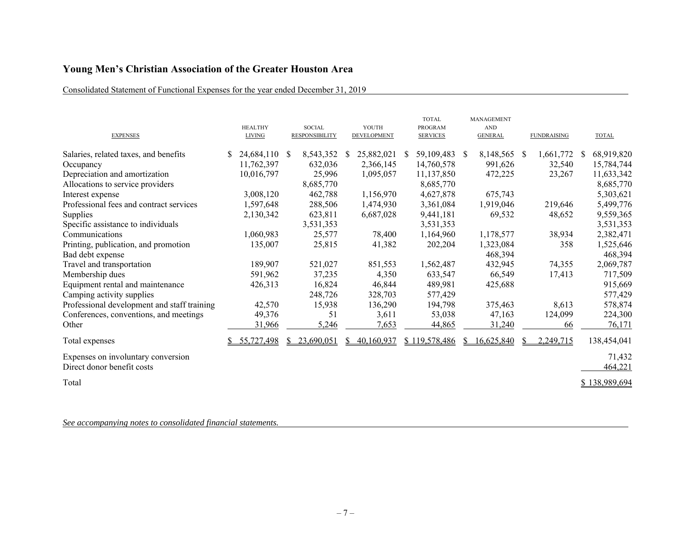## Consolidated Statement of Functional Expenses for the year ended December 31, 2019

| <b>EXPENSES</b>                                                  | <b>HEALTHY</b><br><b>LIVING</b> | <b>SOCIAL</b><br><b>RESPONSIBILITY</b> | YOUTH<br>DEVELOPMENT | <b>TOTAL</b><br>PROGRAM<br><b>SERVICES</b> | <b>MANAGEMENT</b><br><b>AND</b><br><b>GENERAL</b> | <b>FUNDRAISING</b> | <b>TOTAL</b>      |
|------------------------------------------------------------------|---------------------------------|----------------------------------------|----------------------|--------------------------------------------|---------------------------------------------------|--------------------|-------------------|
| Salaries, related taxes, and benefits                            | 24,684,110 \$                   | 8,543,352                              | 25,882,021<br>S.     | 59,109,483 \$<br>S.                        | 8,148,565                                         | 1,661,772<br>- \$  | 68,919,820<br>S.  |
| Occupancy                                                        | 11,762,397                      | 632,036                                | 2,366,145            | 14,760,578                                 | 991,626                                           | 32,540             | 15,784,744        |
| Depreciation and amortization                                    | 10,016,797                      | 25,996                                 | 1,095,057            | 11,137,850                                 | 472,225                                           | 23,267             | 11,633,342        |
| Allocations to service providers                                 |                                 | 8,685,770                              |                      | 8,685,770                                  |                                                   |                    | 8,685,770         |
| Interest expense                                                 | 3,008,120                       | 462,788                                | 1,156,970            | 4,627,878                                  | 675,743                                           |                    | 5,303,621         |
| Professional fees and contract services                          | 1,597,648                       | 288,506                                | 1,474,930            | 3,361,084                                  | 1,919,046                                         | 219,646            | 5,499,776         |
| Supplies                                                         | 2,130,342                       | 623,811                                | 6,687,028            | 9,441,181                                  | 69,532                                            | 48,652             | 9,559,365         |
| Specific assistance to individuals                               |                                 | 3,531,353                              |                      | 3,531,353                                  |                                                   |                    | 3,531,353         |
| Communications                                                   | 1,060,983                       | 25,577                                 | 78,400               | 1,164,960                                  | 1,178,577                                         | 38,934             | 2,382,471         |
| Printing, publication, and promotion                             | 135,007                         | 25,815                                 | 41,382               | 202,204                                    | 1,323,084                                         | 358                | 1,525,646         |
| Bad debt expense                                                 |                                 |                                        |                      |                                            | 468,394                                           |                    | 468,394           |
| Travel and transportation                                        | 189,907                         | 521,027                                | 851,553              | 1,562,487                                  | 432,945                                           | 74,355             | 2,069,787         |
| Membership dues                                                  | 591,962                         | 37,235                                 | 4,350                | 633,547                                    | 66,549                                            | 17,413             | 717,509           |
| Equipment rental and maintenance                                 | 426,313                         | 16,824                                 | 46,844               | 489,981                                    | 425,688                                           |                    | 915,669           |
| Camping activity supplies                                        |                                 | 248,726                                | 328,703              | 577,429                                    |                                                   |                    | 577,429           |
| Professional development and staff training                      | 42,570                          | 15,938                                 | 136,290              | 194,798                                    | 375,463                                           | 8,613              | 578,874           |
| Conferences, conventions, and meetings                           | 49,376                          | 51                                     | 3,611                | 53,038                                     | 47,163                                            | 124,099            | 224,300           |
| Other                                                            | 31,966                          | 5,246                                  | 7,653                | 44,865                                     | 31,240                                            | 66                 | 76,171            |
| Total expenses                                                   | 55,727,498                      | 23,690,051<br>S.                       | 40,160,937<br>S.     | \$119,578,486                              | 16,625,840<br>S.                                  | 2,249,715          | 138,454,041       |
| Expenses on involuntary conversion<br>Direct donor benefit costs |                                 |                                        |                      |                                            |                                                   |                    | 71,432<br>464,221 |
| Total                                                            |                                 |                                        |                      |                                            |                                                   |                    | \$138,989,694     |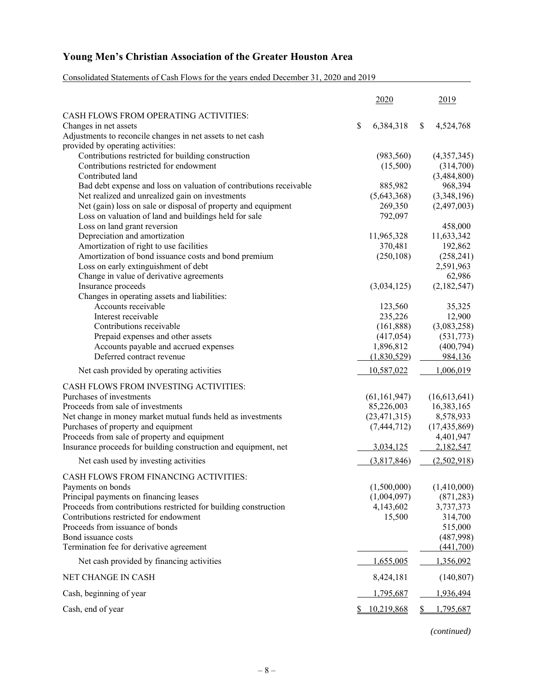Consolidated Statements of Cash Flows for the years ended December 31, 2020 and 2019

|                                                                    | 2020            | 2019                  |
|--------------------------------------------------------------------|-----------------|-----------------------|
| CASH FLOWS FROM OPERATING ACTIVITIES:                              |                 |                       |
| Changes in net assets                                              | \$<br>6,384,318 | \$<br>4,524,768       |
| Adjustments to reconcile changes in net assets to net cash         |                 |                       |
| provided by operating activities:                                  |                 |                       |
| Contributions restricted for building construction                 | (983, 560)      | (4,357,345)           |
| Contributions restricted for endowment                             | (15,500)        | (314,700)             |
| Contributed land                                                   |                 | (3,484,800)           |
| Bad debt expense and loss on valuation of contributions receivable | 885,982         | 968,394               |
| Net realized and unrealized gain on investments                    | (5,643,368)     | (3,348,196)           |
| Net (gain) loss on sale or disposal of property and equipment      | 269,350         | (2,497,003)           |
| Loss on valuation of land and buildings held for sale              | 792,097         |                       |
| Loss on land grant reversion<br>Depreciation and amortization      | 11,965,328      | 458,000<br>11,633,342 |
| Amortization of right to use facilities                            | 370,481         | 192,862               |
| Amortization of bond issuance costs and bond premium               | (250, 108)      | (258, 241)            |
| Loss on early extinguishment of debt                               |                 | 2,591,963             |
| Change in value of derivative agreements                           |                 | 62,986                |
| Insurance proceeds                                                 | (3,034,125)     | (2,182,547)           |
| Changes in operating assets and liabilities:                       |                 |                       |
| Accounts receivable                                                | 123,560         | 35,325                |
| Interest receivable                                                | 235,226         | 12,900                |
| Contributions receivable                                           | (161, 888)      | (3,083,258)           |
| Prepaid expenses and other assets                                  | (417, 054)      | (531,773)             |
| Accounts payable and accrued expenses                              | 1,896,812       | (400, 794)            |
| Deferred contract revenue                                          | (1,830,529)     | 984,136               |
| Net cash provided by operating activities                          | 10,587,022      | 1,006,019             |
| CASH FLOWS FROM INVESTING ACTIVITIES:                              |                 |                       |
| Purchases of investments                                           | (61, 161, 947)  | (16,613,641)          |
| Proceeds from sale of investments                                  | 85,226,003      | 16,383,165            |
| Net change in money market mutual funds held as investments        | (23, 471, 315)  | 8,578,933             |
| Purchases of property and equipment                                | (7, 444, 712)   | (17, 435, 869)        |
| Proceeds from sale of property and equipment                       |                 | 4,401,947             |
| Insurance proceeds for building construction and equipment, net    | 3,034,125       | 2,182,547             |
| Net cash used by investing activities                              | (3,817,846)     | (2,502,918)           |
|                                                                    |                 |                       |
| CASH FLOWS FROM FINANCING ACTIVITIES:<br>Payments on bonds         | (1,500,000)     | (1,410,000)           |
| Principal payments on financing leases                             | (1,004,097)     | (871, 283)            |
| Proceeds from contributions restricted for building construction   | 4,143,602       | 3,737,373             |
| Contributions restricted for endowment                             | 15,500          | 314,700               |
| Proceeds from issuance of bonds                                    |                 | 515,000               |
| Bond issuance costs                                                |                 | (487,998)             |
| Termination fee for derivative agreement                           |                 | (441,700)             |
| Net cash provided by financing activities                          | 1,655,005       | 1,356,092             |
| NET CHANGE IN CASH                                                 | 8,424,181       | (140, 807)            |
| Cash, beginning of year                                            | 1,795,687       | 1,936,494             |
| Cash, end of year                                                  | 10,219,868      | 1,795,687             |

*(continued)*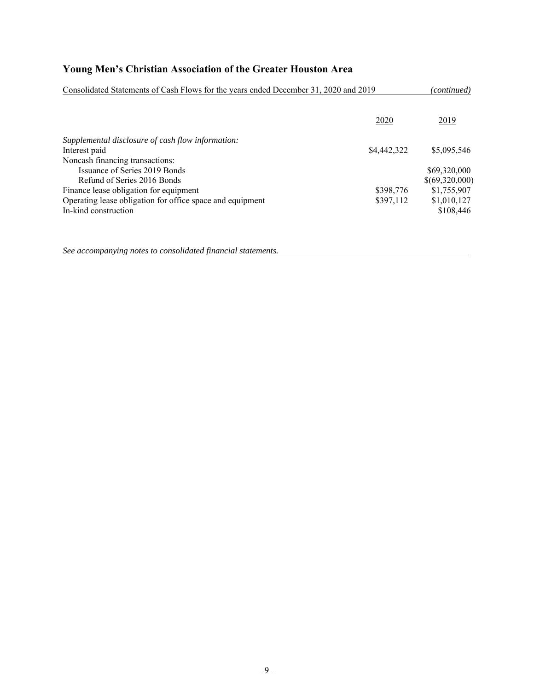| Consolidated Statements of Cash Flows for the years ended December 31, 2020 and 2019 |             |                |  |
|--------------------------------------------------------------------------------------|-------------|----------------|--|
|                                                                                      | 2020        | 2019           |  |
| Supplemental disclosure of cash flow information:<br>Interest paid                   | \$4,442,322 | \$5,095,546    |  |
| Noncash financing transactions:                                                      |             |                |  |
| Issuance of Series 2019 Bonds                                                        |             | \$69,320,000   |  |
| Refund of Series 2016 Bonds                                                          |             | \$(69,320,000) |  |
| Finance lease obligation for equipment                                               | \$398,776   | \$1,755,907    |  |
| Operating lease obligation for office space and equipment                            | \$397,112   | \$1,010,127    |  |
| In-kind construction                                                                 |             | \$108,446      |  |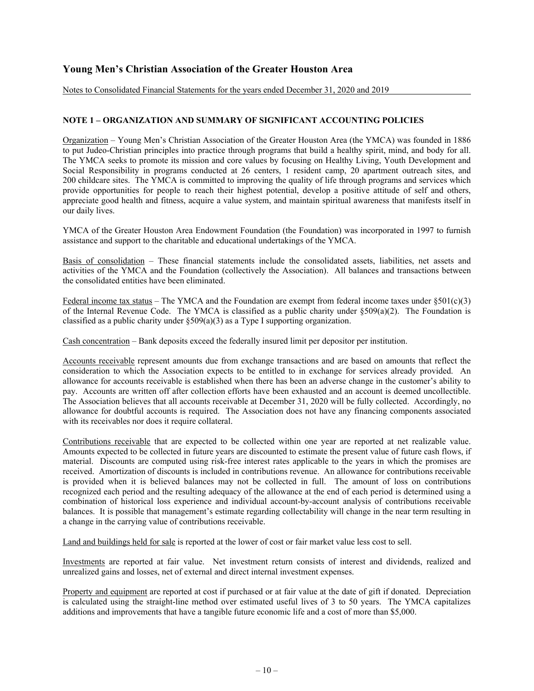Notes to Consolidated Financial Statements for the years ended December 31, 2020 and 2019

### **NOTE 1 – ORGANIZATION AND SUMMARY OF SIGNIFICANT ACCOUNTING POLICIES**

Organization – Young Men's Christian Association of the Greater Houston Area (the YMCA) was founded in 1886 to put Judeo-Christian principles into practice through programs that build a healthy spirit, mind, and body for all. The YMCA seeks to promote its mission and core values by focusing on Healthy Living, Youth Development and Social Responsibility in programs conducted at 26 centers, 1 resident camp, 20 apartment outreach sites, and 200 childcare sites. The YMCA is committed to improving the quality of life through programs and services which provide opportunities for people to reach their highest potential, develop a positive attitude of self and others, appreciate good health and fitness, acquire a value system, and maintain spiritual awareness that manifests itself in our daily lives.

YMCA of the Greater Houston Area Endowment Foundation (the Foundation) was incorporated in 1997 to furnish assistance and support to the charitable and educational undertakings of the YMCA.

Basis of consolidation – These financial statements include the consolidated assets, liabilities, net assets and activities of the YMCA and the Foundation (collectively the Association). All balances and transactions between the consolidated entities have been eliminated.

Federal income tax status – The YMCA and the Foundation are exempt from federal income taxes under  $\S501(c)(3)$ of the Internal Revenue Code. The YMCA is classified as a public charity under  $\S509(a)(2)$ . The Foundation is classified as a public charity under §509(a)(3) as a Type I supporting organization.

Cash concentration – Bank deposits exceed the federally insured limit per depositor per institution.

Accounts receivable represent amounts due from exchange transactions and are based on amounts that reflect the consideration to which the Association expects to be entitled to in exchange for services already provided. An allowance for accounts receivable is established when there has been an adverse change in the customer's ability to pay. Accounts are written off after collection efforts have been exhausted and an account is deemed uncollectible. The Association believes that all accounts receivable at December 31, 2020 will be fully collected. Accordingly, no allowance for doubtful accounts is required. The Association does not have any financing components associated with its receivables nor does it require collateral.

Contributions receivable that are expected to be collected within one year are reported at net realizable value. Amounts expected to be collected in future years are discounted to estimate the present value of future cash flows, if material. Discounts are computed using risk-free interest rates applicable to the years in which the promises are received. Amortization of discounts is included in contributions revenue. An allowance for contributions receivable is provided when it is believed balances may not be collected in full. The amount of loss on contributions recognized each period and the resulting adequacy of the allowance at the end of each period is determined using a combination of historical loss experience and individual account-by-account analysis of contributions receivable balances. It is possible that management's estimate regarding collectability will change in the near term resulting in a change in the carrying value of contributions receivable.

Land and buildings held for sale is reported at the lower of cost or fair market value less cost to sell.

Investments are reported at fair value. Net investment return consists of interest and dividends, realized and unrealized gains and losses, net of external and direct internal investment expenses.

Property and equipment are reported at cost if purchased or at fair value at the date of gift if donated. Depreciation is calculated using the straight-line method over estimated useful lives of 3 to 50 years. The YMCA capitalizes additions and improvements that have a tangible future economic life and a cost of more than \$5,000.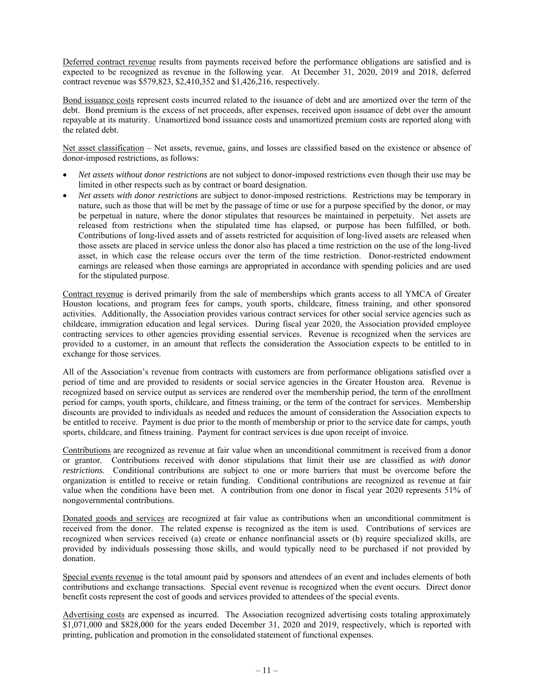Deferred contract revenue results from payments received before the performance obligations are satisfied and is expected to be recognized as revenue in the following year. At December 31, 2020, 2019 and 2018, deferred contract revenue was \$579,823, \$2,410,352 and \$1,426,216, respectively.

Bond issuance costs represent costs incurred related to the issuance of debt and are amortized over the term of the debt. Bond premium is the excess of net proceeds, after expenses, received upon issuance of debt over the amount repayable at its maturity. Unamortized bond issuance costs and unamortized premium costs are reported along with the related debt.

Net asset classification – Net assets, revenue, gains, and losses are classified based on the existence or absence of donor-imposed restrictions, as follows:

- *Net assets without donor restrictions* are not subject to donor-imposed restrictions even though their use may be limited in other respects such as by contract or board designation.
- *Net assets with donor restrictions* are subject to donor-imposed restrictions. Restrictions may be temporary in nature, such as those that will be met by the passage of time or use for a purpose specified by the donor, or may be perpetual in nature, where the donor stipulates that resources be maintained in perpetuity. Net assets are released from restrictions when the stipulated time has elapsed, or purpose has been fulfilled, or both. Contributions of long-lived assets and of assets restricted for acquisition of long-lived assets are released when those assets are placed in service unless the donor also has placed a time restriction on the use of the long-lived asset, in which case the release occurs over the term of the time restriction. Donor-restricted endowment earnings are released when those earnings are appropriated in accordance with spending policies and are used for the stipulated purpose.

Contract revenue is derived primarily from the sale of memberships which grants access to all YMCA of Greater Houston locations, and program fees for camps, youth sports, childcare, fitness training, and other sponsored activities. Additionally, the Association provides various contract services for other social service agencies such as childcare, immigration education and legal services. During fiscal year 2020, the Association provided employee contracting services to other agencies providing essential services. Revenue is recognized when the services are provided to a customer, in an amount that reflects the consideration the Association expects to be entitled to in exchange for those services.

All of the Association's revenue from contracts with customers are from performance obligations satisfied over a period of time and are provided to residents or social service agencies in the Greater Houston area. Revenue is recognized based on service output as services are rendered over the membership period, the term of the enrollment period for camps, youth sports, childcare, and fitness training, or the term of the contract for services. Membership discounts are provided to individuals as needed and reduces the amount of consideration the Association expects to be entitled to receive. Payment is due prior to the month of membership or prior to the service date for camps, youth sports, childcare, and fitness training. Payment for contract services is due upon receipt of invoice.

Contributions are recognized as revenue at fair value when an unconditional commitment is received from a donor or grantor. Contributions received with donor stipulations that limit their use are classified as *with donor restrictions*. Conditional contributions are subject to one or more barriers that must be overcome before the organization is entitled to receive or retain funding. Conditional contributions are recognized as revenue at fair value when the conditions have been met. A contribution from one donor in fiscal year 2020 represents 51% of nongovernmental contributions.

Donated goods and services are recognized at fair value as contributions when an unconditional commitment is received from the donor. The related expense is recognized as the item is used. Contributions of services are recognized when services received (a) create or enhance nonfinancial assets or (b) require specialized skills, are provided by individuals possessing those skills, and would typically need to be purchased if not provided by donation.

Special events revenue is the total amount paid by sponsors and attendees of an event and includes elements of both contributions and exchange transactions. Special event revenue is recognized when the event occurs. Direct donor benefit costs represent the cost of goods and services provided to attendees of the special events.

Advertising costs are expensed as incurred. The Association recognized advertising costs totaling approximately \$1,071,000 and \$828,000 for the years ended December 31, 2020 and 2019, respectively, which is reported with printing, publication and promotion in the consolidated statement of functional expenses.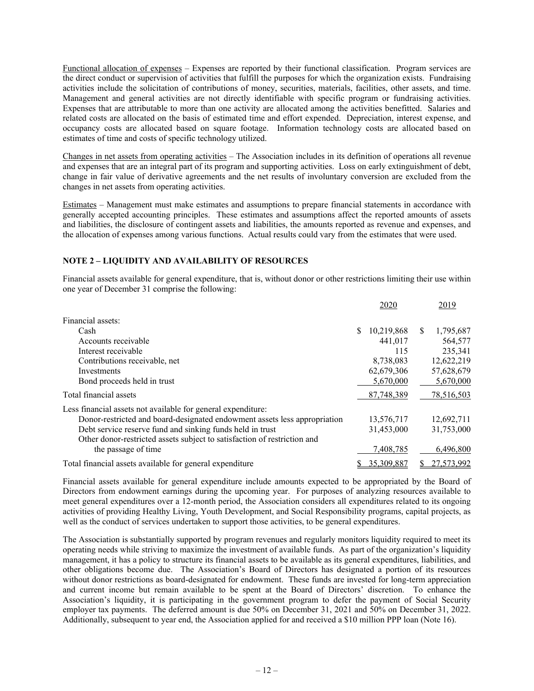Functional allocation of expenses – Expenses are reported by their functional classification. Program services are the direct conduct or supervision of activities that fulfill the purposes for which the organization exists. Fundraising activities include the solicitation of contributions of money, securities, materials, facilities, other assets, and time. Management and general activities are not directly identifiable with specific program or fundraising activities. Expenses that are attributable to more than one activity are allocated among the activities benefitted. Salaries and related costs are allocated on the basis of estimated time and effort expended. Depreciation, interest expense, and occupancy costs are allocated based on square footage. Information technology costs are allocated based on estimates of time and costs of specific technology utilized.

Changes in net assets from operating activities – The Association includes in its definition of operations all revenue and expenses that are an integral part of its program and supporting activities. Loss on early extinguishment of debt, change in fair value of derivative agreements and the net results of involuntary conversion are excluded from the changes in net assets from operating activities.

Estimates – Management must make estimates and assumptions to prepare financial statements in accordance with generally accepted accounting principles. These estimates and assumptions affect the reported amounts of assets and liabilities, the disclosure of contingent assets and liabilities, the amounts reported as revenue and expenses, and the allocation of expenses among various functions. Actual results could vary from the estimates that were used.

## **NOTE 2 – LIQUIDITY AND AVAILABILITY OF RESOURCES**

Financial assets available for general expenditure, that is, without donor or other restrictions limiting their use within one year of December 31 comprise the following:

|                                                                           | 2020       |     | 2019       |
|---------------------------------------------------------------------------|------------|-----|------------|
| Financial assets:                                                         |            |     |            |
| Cash                                                                      | 10,219,868 | \$. | 1,795,687  |
| Accounts receivable                                                       | 441,017    |     | 564,577    |
| Interest receivable                                                       | 115        |     | 235,341    |
| Contributions receivable, net                                             | 8,738,083  |     | 12,622,219 |
| Investments                                                               | 62,679,306 |     | 57,628,679 |
| Bond proceeds held in trust                                               | 5,670,000  |     | 5,670,000  |
| Total financial assets                                                    | 87,748,389 |     | 78,516,503 |
| Less financial assets not available for general expenditure:              |            |     |            |
| Donor-restricted and board-designated endowment assets less appropriation | 13,576,717 |     | 12,692,711 |
| Debt service reserve fund and sinking funds held in trust                 | 31,453,000 |     | 31,753,000 |
| Other donor-restricted assets subject to satisfaction of restriction and  |            |     |            |
| the passage of time                                                       | 7,408,785  |     | 6,496,800  |
| Total financial assets available for general expenditure                  | 35,309,887 |     | 27,573,992 |

Financial assets available for general expenditure include amounts expected to be appropriated by the Board of Directors from endowment earnings during the upcoming year. For purposes of analyzing resources available to meet general expenditures over a 12-month period, the Association considers all expenditures related to its ongoing activities of providing Healthy Living, Youth Development, and Social Responsibility programs, capital projects, as well as the conduct of services undertaken to support those activities, to be general expenditures.

The Association is substantially supported by program revenues and regularly monitors liquidity required to meet its operating needs while striving to maximize the investment of available funds. As part of the organization's liquidity management, it has a policy to structure its financial assets to be available as its general expenditures, liabilities, and other obligations become due. The Association's Board of Directors has designated a portion of its resources without donor restrictions as board-designated for endowment. These funds are invested for long-term appreciation and current income but remain available to be spent at the Board of Directors' discretion. To enhance the Association's liquidity, it is participating in the government program to defer the payment of Social Security employer tax payments. The deferred amount is due 50% on December 31, 2021 and 50% on December 31, 2022. Additionally, subsequent to year end, the Association applied for and received a \$10 million PPP loan (Note 16).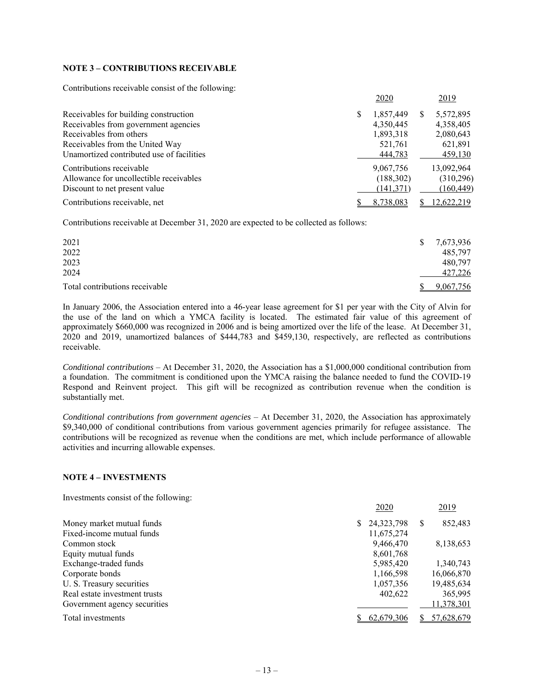### **NOTE 3 – CONTRIBUTIONS RECEIVABLE**

Contributions receivable consist of the following:

|                                           |   | 2020       |   | 2019       |
|-------------------------------------------|---|------------|---|------------|
| Receivables for building construction     | S | 1,857,449  | S | 5,572,895  |
| Receivables from government agencies      |   | 4,350,445  |   | 4,358,405  |
| Receivables from others                   |   | 1,893,318  |   | 2,080,643  |
| Receivables from the United Way           |   | 521,761    |   | 621,891    |
| Unamortized contributed use of facilities |   | 444,783    |   | 459,130    |
| Contributions receivable                  |   | 9,067,756  |   | 13,092,964 |
| Allowance for uncollectible receivables   |   | (188, 302) |   | (310, 296) |
| Discount to net present value             |   | (141,371)  |   | (160, 449) |
| Contributions receivable, net             |   | 8.738.083  |   | 12,622,219 |

Contributions receivable at December 31, 2020 are expected to be collected as follows:

| 2021                           | <sup>S</sup> | 7,673,936 |
|--------------------------------|--------------|-----------|
| 2022                           |              | 485,797   |
| 2023                           |              | 480,797   |
| 2024                           |              | 427,226   |
| Total contributions receivable |              | 9,067,756 |

In January 2006, the Association entered into a 46-year lease agreement for \$1 per year with the City of Alvin for the use of the land on which a YMCA facility is located. The estimated fair value of this agreement of approximately \$660,000 was recognized in 2006 and is being amortized over the life of the lease. At December 31, 2020 and 2019, unamortized balances of \$444,783 and \$459,130, respectively, are reflected as contributions receivable.

*Conditional contributions* – At December 31, 2020, the Association has a \$1,000,000 conditional contribution from a foundation. The commitment is conditioned upon the YMCA raising the balance needed to fund the COVID-19 Respond and Reinvent project. This gift will be recognized as contribution revenue when the condition is substantially met.

*Conditional contributions from government agencies* – At December 31, 2020, the Association has approximately \$9,340,000 of conditional contributions from various government agencies primarily for refugee assistance. The contributions will be recognized as revenue when the conditions are met, which include performance of allowable activities and incurring allowable expenses.

#### **NOTE 4 – INVESTMENTS**

Investments consist of the following:

|                               | 2020         |   | 2019       |
|-------------------------------|--------------|---|------------|
| Money market mutual funds     | 24, 323, 798 | S | 852,483    |
| Fixed-income mutual funds     | 11,675,274   |   |            |
| Common stock                  | 9,466,470    |   | 8,138,653  |
| Equity mutual funds           | 8,601,768    |   |            |
| Exchange-traded funds         | 5,985,420    |   | 1.340.743  |
| Corporate bonds               | 1,166,598    |   | 16,066,870 |
| U. S. Treasury securities     | 1,057,356    |   | 19,485,634 |
| Real estate investment trusts | 402,622      |   | 365,995    |
| Government agency securities  |              |   | 11,378,301 |
| Total investments             | 62,679,306   |   | 57,628,679 |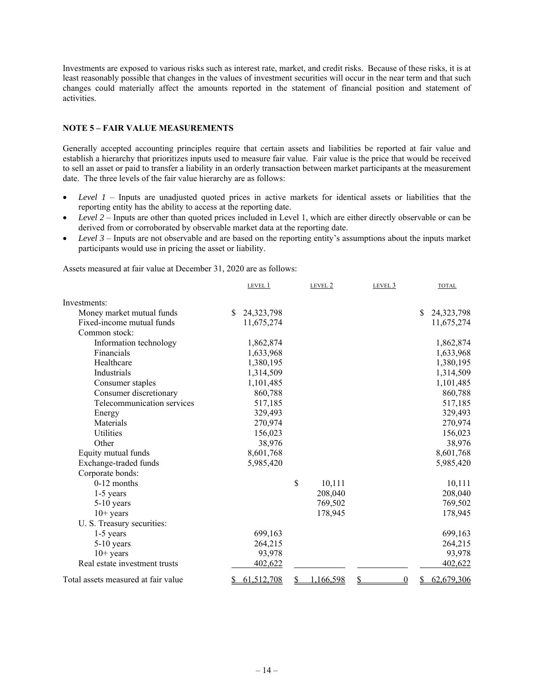Investments are exposed to various risks such as interest rate, market, and credit risks. Because of these risks, it is at least reasonably possible that changes in the values of investment securities will occur in the near term and that such changes could materially affect the amounts reported in the statement of financial position and statement of activities.

#### **NOTE 5 – FAIR VALUE MEASUREMENTS**

Generally accepted accounting principles require that certain assets and liabilities be reported at fair value and establish a hierarchy that prioritizes inputs used to measure fair value. Fair value is the price that would be received to sell an asset or paid to transfer a liability in an orderly transaction between market participants at the measurement date. The three levels of the fair value hierarchy are as follows:

- *Level 1* Inputs are unadjusted quoted prices in active markets for identical assets or liabilities that the reporting entity has the ability to access at the reporting date.
- *Level 2* Inputs are other than quoted prices included in Level 1, which are either directly observable or can be derived from or corroborated by observable market data at the reporting date.
- *Level 3* Inputs are not observable and are based on the reporting entity's assumptions about the inputs market participants would use in pricing the asset or liability.

Assets measured at fair value at December 31, 2020 are as follows:

|                                     | LEVEL 1          | LEVEL 2      | LEVEL 3              | <b>TOTAL</b>     |
|-------------------------------------|------------------|--------------|----------------------|------------------|
| Investments:                        |                  |              |                      |                  |
| Money market mutual funds           | \$<br>24,323,798 |              |                      | \$<br>24,323,798 |
| Fixed-income mutual funds           | 11,675,274       |              |                      | 11,675,274       |
| Common stock:                       |                  |              |                      |                  |
| Information technology              | 1,862,874        |              |                      | 1,862,874        |
| Financials                          | 1,633,968        |              |                      | 1,633,968        |
| Healthcare                          | 1,380,195        |              |                      | 1,380,195        |
| Industrials                         | 1,314,509        |              |                      | 1,314,509        |
| Consumer staples                    | 1,101,485        |              |                      | 1,101,485        |
| Consumer discretionary              | 860,788          |              |                      | 860,788          |
| Telecommunication services          | 517,185          |              |                      | 517,185          |
| Energy                              | 329,493          |              |                      | 329,493          |
| Materials                           | 270,974          |              |                      | 270,974          |
| <b>Utilities</b>                    | 156,023          |              |                      | 156,023          |
| Other                               | 38,976           |              |                      | 38,976           |
| Equity mutual funds                 | 8,601,768        |              |                      | 8,601,768        |
| Exchange-traded funds               | 5,985,420        |              |                      | 5,985,420        |
| Corporate bonds:                    |                  |              |                      |                  |
| $0-12$ months                       |                  | \$<br>10,111 |                      | 10,111           |
| $1-5$ years                         |                  | 208,040      |                      | 208,040          |
| $5-10$ years                        |                  | 769,502      |                      | 769,502          |
| $10+$ years                         |                  | 178,945      |                      | 178,945          |
| U. S. Treasury securities:          |                  |              |                      |                  |
| $1-5$ years                         | 699,163          |              |                      | 699,163          |
| 5-10 years                          | 264,215          |              |                      | 264,215          |
| $10+$ years                         | 93,978           |              |                      | 93,978           |
| Real estate investment trusts       | 402,622          |              |                      | 402,622          |
| Total assets measured at fair value | \$<br>61,512,708 | 1,166,598    | \$<br>$\overline{0}$ | 62,679,306<br>\$ |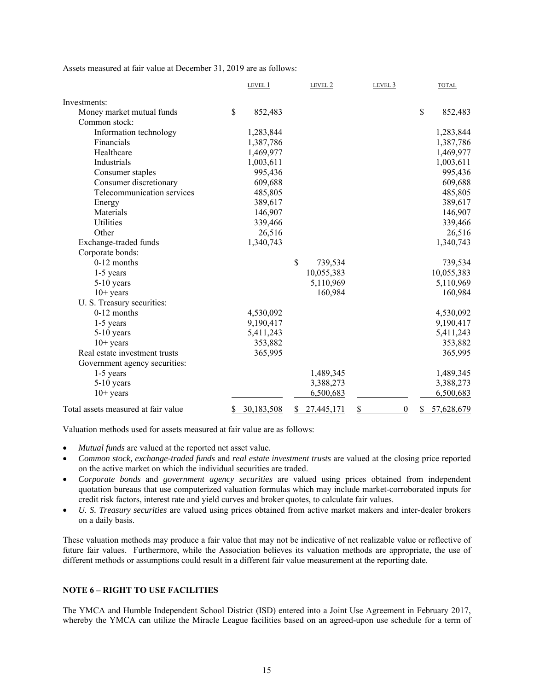Assets measured at fair value at December 31, 2019 are as follows:

|                                     | LEVEL 1          |    | LEVEL 2    | LEVEL 3                |    | <b>TOTAL</b> |
|-------------------------------------|------------------|----|------------|------------------------|----|--------------|
| Investments:                        |                  |    |            |                        |    |              |
| Money market mutual funds           | \$<br>852,483    |    |            |                        | \$ | 852,483      |
| Common stock:                       |                  |    |            |                        |    |              |
| Information technology              | 1,283,844        |    |            |                        |    | 1,283,844    |
| Financials                          | 1,387,786        |    |            |                        |    | 1,387,786    |
| Healthcare                          | 1,469,977        |    |            |                        |    | 1,469,977    |
| Industrials                         | 1,003,611        |    |            |                        |    | 1,003,611    |
| Consumer staples                    | 995,436          |    |            |                        |    | 995,436      |
| Consumer discretionary              | 609,688          |    |            |                        |    | 609,688      |
| Telecommunication services          | 485,805          |    |            |                        |    | 485,805      |
| Energy                              | 389,617          |    |            |                        |    | 389,617      |
| Materials                           | 146,907          |    |            |                        |    | 146,907      |
| Utilities                           | 339,466          |    |            |                        |    | 339,466      |
| Other                               | 26,516           |    |            |                        |    | 26,516       |
| Exchange-traded funds               | 1,340,743        |    |            |                        |    | 1,340,743    |
| Corporate bonds:                    |                  |    |            |                        |    |              |
| 0-12 months                         |                  | \$ | 739,534    |                        |    | 739,534      |
| $1-5$ years                         |                  |    | 10,055,383 |                        |    | 10,055,383   |
| 5-10 years                          |                  |    | 5,110,969  |                        |    | 5,110,969    |
| $10+$ years                         |                  |    | 160,984    |                        |    | 160,984      |
| U. S. Treasury securities:          |                  |    |            |                        |    |              |
| 0-12 months                         | 4,530,092        |    |            |                        |    | 4,530,092    |
| $1-5$ years                         | 9,190,417        |    |            |                        |    | 9,190,417    |
| $5-10$ years                        | 5,411,243        |    |            |                        |    | 5,411,243    |
| $10+$ years                         | 353,882          |    |            |                        |    | 353,882      |
| Real estate investment trusts       | 365,995          |    |            |                        |    | 365,995      |
| Government agency securities:       |                  |    |            |                        |    |              |
| $1-5$ years                         |                  |    | 1,489,345  |                        |    | 1,489,345    |
| 5-10 years                          |                  |    | 3,388,273  |                        |    | 3,388,273    |
| $10+$ years                         |                  |    | 6,500,683  |                        |    | 6,500,683    |
| Total assets measured at fair value | \$<br>30,183,508 | S  | 27,445,171 | $\boldsymbol{0}$<br>\$ | S  | 57,628,679   |

Valuation methods used for assets measured at fair value are as follows:

- *Mutual funds* are valued at the reported net asset value.
- *Common stock, exchange-traded funds* and *real estate investment trusts* are valued at the closing price reported on the active market on which the individual securities are traded.
- *Corporate bonds* and *government agency securities* are valued using prices obtained from independent quotation bureaus that use computerized valuation formulas which may include market-corroborated inputs for credit risk factors, interest rate and yield curves and broker quotes, to calculate fair values.
- *U. S. Treasury securities* are valued using prices obtained from active market makers and inter-dealer brokers on a daily basis.

These valuation methods may produce a fair value that may not be indicative of net realizable value or reflective of future fair values. Furthermore, while the Association believes its valuation methods are appropriate, the use of different methods or assumptions could result in a different fair value measurement at the reporting date.

#### **NOTE 6 – RIGHT TO USE FACILITIES**

The YMCA and Humble Independent School District (ISD) entered into a Joint Use Agreement in February 2017, whereby the YMCA can utilize the Miracle League facilities based on an agreed-upon use schedule for a term of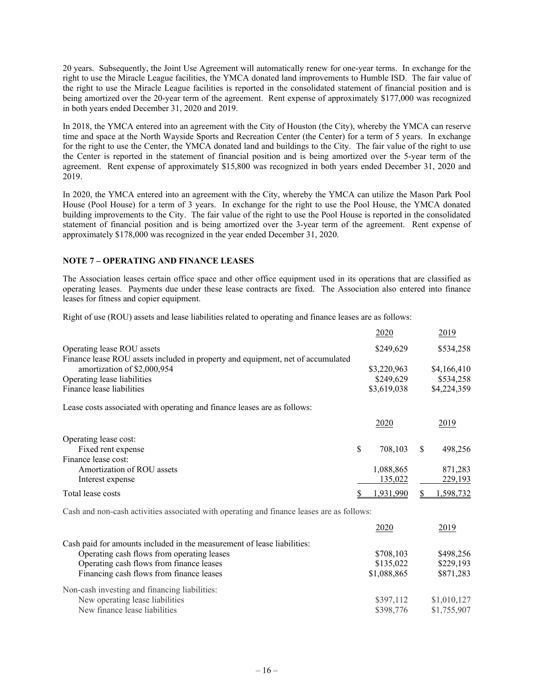20 years. Subsequently, the Joint Use Agreement will automatically renew for one-year terms. In exchange for the right to use the Miracle League facilities, the YMCA donated land improvements to Humble ISD. The fair value of the right to use the Miracle League facilities is reported in the consolidated statement of financial position and is being amortized over the 20-year term of the agreement. Rent expense of approximately \$177,000 was recognized in both years ended December 31, 2020 and 2019.

In 2018, the YMCA entered into an agreement with the City of Houston (the City), whereby the YMCA can reserve time and space at the North Wayside Sports and Recreation Center (the Center) for a term of 5 years. In exchange for the right to use the Center, the YMCA donated land and buildings to the City. The fair value of the right to use the Center is reported in the statement of financial position and is being amortized over the 5-year term of the agreement. Rent expense of approximately \$15,800 was recognized in both years ended December 31, 2020 and 2019.

In 2020, the YMCA entered into an agreement with the City, whereby the YMCA can utilize the Mason Park Pool House (Pool House) for a term of 3 years. In exchange for the right to use the Pool House, the YMCA donated building improvements to the City. The fair value of the right to use the Pool House is reported in the consolidated statement of financial position and is being amortized over the 3-year term of the agreement. Rent expense of approximately \$178,000 was recognized in the year ended December 31, 2020.

#### **NOTE 7 – OPERATING AND FINANCE LEASES**

The Association leases certain office space and other office equipment used in its operations that are classified as operating leases. Payments due under these lease contracts are fixed. The Association also entered into finance leases for fitness and copier equipment.

Right of use (ROU) assets and lease liabilities related to operating and finance leases are as follows:

|                                                                                           | 2020          | 2019          |
|-------------------------------------------------------------------------------------------|---------------|---------------|
| Operating lease ROU assets                                                                | \$249,629     | \$534,258     |
| Finance lease ROU assets included in property and equipment, net of accumulated           |               |               |
| amortization of \$2,000,954                                                               | \$3,220,963   | \$4,166,410   |
| Operating lease liabilities                                                               | \$249,629     | \$534,258     |
| Finance lease liabilities                                                                 | \$3,619,038   | \$4,224,359   |
| Lease costs associated with operating and finance leases are as follows:                  |               |               |
|                                                                                           | 2020          | 2019          |
| Operating lease cost:                                                                     |               |               |
| Fixed rent expense                                                                        | \$<br>708,103 | \$<br>498,256 |
| Finance lease cost:                                                                       |               |               |
| Amortization of ROU assets                                                                | 1,088,865     | 871,283       |
| Interest expense                                                                          | 135,022       | 229,193       |
| Total lease costs                                                                         | .931,990      | ,598,732      |
| Cash and non-cash activities associated with operating and finance leases are as follows: |               |               |
|                                                                                           | 2020          | 2019          |
| Cash paid for amounts included in the measurement of lease liabilities:                   |               |               |
| Operating cash flows from operating leases                                                | \$708,103     | \$498,256     |
| Operating cash flows from finance leases                                                  | \$135,022     | \$229,193     |
| Financing cash flows from finance leases                                                  | \$1,088,865   | \$871,283     |
| Non-cash investing and financing liabilities:                                             |               |               |
| New operating lease liabilities                                                           | \$397,112     | \$1,010,127   |
| New finance lease liabilities                                                             | \$398,776     | \$1,755,907   |
|                                                                                           |               |               |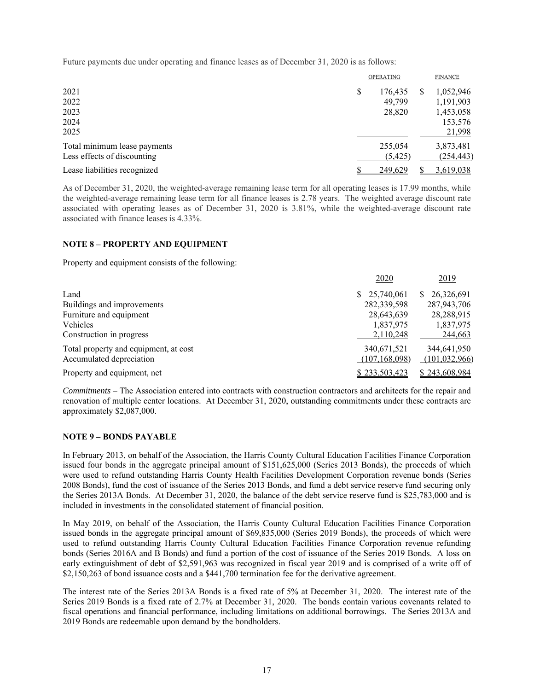Future payments due under operating and finance leases as of December 31, 2020 is as follows:

|                                                             | <b>OPERATING</b><br><b>FINANCE</b>                                                                 |
|-------------------------------------------------------------|----------------------------------------------------------------------------------------------------|
| 2021<br>2022<br>2023<br>2024<br>2025                        | \$<br>1,052,946<br>176.435<br>Ж<br>49.799<br>1,191,903<br>28,820<br>1,453,058<br>153,576<br>21,998 |
| Total minimum lease payments<br>Less effects of discounting | 255,054<br>3,873,481<br>(254, 443)<br>(5,425)                                                      |
| Lease liabilities recognized                                | 249,629<br>3,619,038                                                                               |

As of December 31, 2020, the weighted-average remaining lease term for all operating leases is 17.99 months, while the weighted-average remaining lease term for all finance leases is 2.78 years. The weighted average discount rate associated with operating leases as of December 31, 2020 is 3.81%, while the weighted-average discount rate associated with finance leases is 4.33%.

#### **NOTE 8 – PROPERTY AND EQUIPMENT**

Property and equipment consists of the following:

|                                       | 2020            | 2019             |
|---------------------------------------|-----------------|------------------|
| Land                                  | \$25,740,061    | 26,326,691<br>S. |
| Buildings and improvements            | 282,339,598     | 287,943,706      |
| Furniture and equipment               | 28,643,639      | 28,288,915       |
| Vehicles                              | 1,837,975       | 1,837,975        |
| Construction in progress              | 2,110,248       | 244,663          |
| Total property and equipment, at cost | 340,671,521     | 344,641,950      |
| Accumulated depreciation              | (107, 168, 098) | (101, 032, 966)  |
| Property and equipment, net           | \$233,503,423   | \$243,608,984    |

*Commitments* – The Association entered into contracts with construction contractors and architects for the repair and renovation of multiple center locations. At December 31, 2020, outstanding commitments under these contracts are approximately \$2,087,000.

### **NOTE 9 – BONDS PAYABLE**

In February 2013, on behalf of the Association, the Harris County Cultural Education Facilities Finance Corporation issued four bonds in the aggregate principal amount of \$151,625,000 (Series 2013 Bonds), the proceeds of which were used to refund outstanding Harris County Health Facilities Development Corporation revenue bonds (Series 2008 Bonds), fund the cost of issuance of the Series 2013 Bonds, and fund a debt service reserve fund securing only the Series 2013A Bonds. At December 31, 2020, the balance of the debt service reserve fund is \$25,783,000 and is included in investments in the consolidated statement of financial position.

In May 2019, on behalf of the Association, the Harris County Cultural Education Facilities Finance Corporation issued bonds in the aggregate principal amount of \$69,835,000 (Series 2019 Bonds), the proceeds of which were used to refund outstanding Harris County Cultural Education Facilities Finance Corporation revenue refunding bonds (Series 2016A and B Bonds) and fund a portion of the cost of issuance of the Series 2019 Bonds. A loss on early extinguishment of debt of \$2,591,963 was recognized in fiscal year 2019 and is comprised of a write off of \$2,150,263 of bond issuance costs and a \$441,700 termination fee for the derivative agreement.

The interest rate of the Series 2013A Bonds is a fixed rate of 5% at December 31, 2020. The interest rate of the Series 2019 Bonds is a fixed rate of 2.7% at December 31, 2020. The bonds contain various covenants related to fiscal operations and financial performance, including limitations on additional borrowings. The Series 2013A and 2019 Bonds are redeemable upon demand by the bondholders.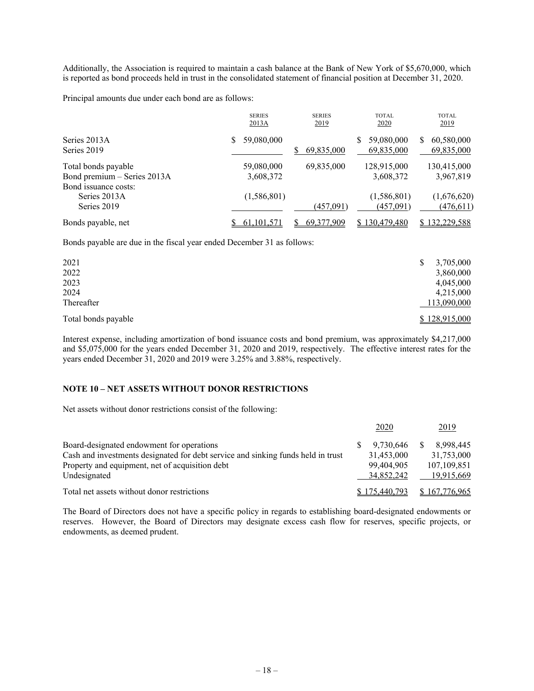Additionally, the Association is required to maintain a cash balance at the Bank of New York of \$5,670,000, which is reported as bond proceeds held in trust in the consolidated statement of financial position at December 31, 2020.

Principal amounts due under each bond are as follows:

|                                                     | <b>SERIES</b><br>2013A  | <b>SERIES</b><br>2019 | <b>TOTAL</b><br>2020          | <b>TOTAL</b><br>2019           |
|-----------------------------------------------------|-------------------------|-----------------------|-------------------------------|--------------------------------|
| Series 2013A<br>Series 2019                         | 59,080,000              | S<br>69,835,000       | 59,080,000<br>S<br>69,835,000 | 60,580,000<br>S.<br>69,835,000 |
| Total bonds payable<br>Bond premium - Series 2013A  | 59,080,000<br>3,608,372 | 69,835,000            | 128,915,000<br>3,608,372      | 130,415,000<br>3,967,819       |
| Bond issuance costs:<br>Series 2013A<br>Series 2019 | (1, 586, 801)           | (457,091)             | (1,586,801)<br>(457,091)      | (1,676,620)<br>(476, 611)      |
| Bonds payable, net                                  | 61, 101, 571            | 69,377,909            | \$130,479,480                 | 132,229,588                    |

Bonds payable are due in the fiscal year ended December 31 as follows:

| 2021<br>2022        | 3,705,000<br>3,860,000 |
|---------------------|------------------------|
| 2023                | 4,045,000              |
| 2024                | 4,215,000              |
| Thereafter          | 113,090,000            |
| Total bonds payable | \$128,915,000          |

Interest expense, including amortization of bond issuance costs and bond premium, was approximately \$4,217,000 and \$5,075,000 for the years ended December 31, 2020 and 2019, respectively. The effective interest rates for the years ended December 31, 2020 and 2019 were 3.25% and 3.88%, respectively.

#### **NOTE 10 – NET ASSETS WITHOUT DONOR RESTRICTIONS**

Net assets without donor restrictions consist of the following:

|                                                                                  |               | 2020       | 2019          |
|----------------------------------------------------------------------------------|---------------|------------|---------------|
| Board-designated endowment for operations                                        |               | 9,730,646  | 8.998.445     |
| Cash and investments designated for debt service and sinking funds held in trust |               | 31,453,000 | 31,753,000    |
| Property and equipment, net of acquisition debt                                  |               | 99,404,905 | 107,109,851   |
| Undesignated                                                                     |               | 34,852,242 | 19,915,669    |
| Total net assets without donor restrictions                                      | \$175,440,793 |            | \$167,776,965 |

The Board of Directors does not have a specific policy in regards to establishing board-designated endowments or reserves. However, the Board of Directors may designate excess cash flow for reserves, specific projects, or endowments, as deemed prudent.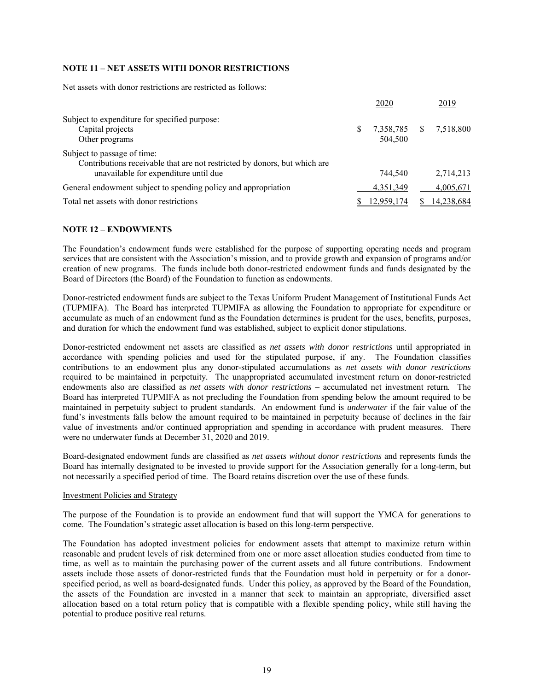## **NOTE 11 – NET ASSETS WITH DONOR RESTRICTIONS**

Net assets with donor restrictions are restricted as follows:

|                                                                                                          |    | 2020                 |    | 2019                   |
|----------------------------------------------------------------------------------------------------------|----|----------------------|----|------------------------|
| Subject to expenditure for specified purpose:<br>Capital projects<br>Other programs                      | S. | 7,358,785<br>504,500 | -S | 7,518,800              |
| Subject to passage of time:<br>Contributions receivable that are not restricted by donors, but which are |    |                      |    |                        |
| unavailable for expenditure until due<br>General endowment subject to spending policy and appropriation  |    | 744,540<br>4.351.349 |    | 2.714.213<br>4,005,671 |
| Total net assets with donor restrictions                                                                 |    | 12.959.174           |    | 14,238,684             |

#### **NOTE 12 – ENDOWMENTS**

The Foundation's endowment funds were established for the purpose of supporting operating needs and program services that are consistent with the Association's mission, and to provide growth and expansion of programs and/or creation of new programs. The funds include both donor-restricted endowment funds and funds designated by the Board of Directors (the Board) of the Foundation to function as endowments.

Donor-restricted endowment funds are subject to the Texas Uniform Prudent Management of Institutional Funds Act (TUPMIFA). The Board has interpreted TUPMIFA as allowing the Foundation to appropriate for expenditure or accumulate as much of an endowment fund as the Foundation determines is prudent for the uses, benefits, purposes, and duration for which the endowment fund was established, subject to explicit donor stipulations.

Donor-restricted endowment net assets are classified as *net assets with donor restrictions* until appropriated in accordance with spending policies and used for the stipulated purpose, if any. The Foundation classifies contributions to an endowment plus any donor-stipulated accumulations as *net assets with donor restrictions* required to be maintained in perpetuity*.* The unappropriated accumulated investment return on donor-restricted endowments also are classified as *net assets with donor restrictions –* accumulated net investment return*.* The Board has interpreted TUPMIFA as not precluding the Foundation from spending below the amount required to be maintained in perpetuity subject to prudent standards. An endowment fund is *underwater* if the fair value of the fund's investments falls below the amount required to be maintained in perpetuity because of declines in the fair value of investments and/or continued appropriation and spending in accordance with prudent measures. There were no underwater funds at December 31, 2020 and 2019.

Board-designated endowment funds are classified as *net assets without donor restrictions* and represents funds the Board has internally designated to be invested to provide support for the Association generally for a long-term, but not necessarily a specified period of time. The Board retains discretion over the use of these funds.

#### Investment Policies and Strategy

The purpose of the Foundation is to provide an endowment fund that will support the YMCA for generations to come. The Foundation's strategic asset allocation is based on this long-term perspective.

The Foundation has adopted investment policies for endowment assets that attempt to maximize return within reasonable and prudent levels of risk determined from one or more asset allocation studies conducted from time to time, as well as to maintain the purchasing power of the current assets and all future contributions. Endowment assets include those assets of donor-restricted funds that the Foundation must hold in perpetuity or for a donorspecified period, as well as board-designated funds. Under this policy, as approved by the Board of the Foundation, the assets of the Foundation are invested in a manner that seek to maintain an appropriate, diversified asset allocation based on a total return policy that is compatible with a flexible spending policy, while still having the potential to produce positive real returns.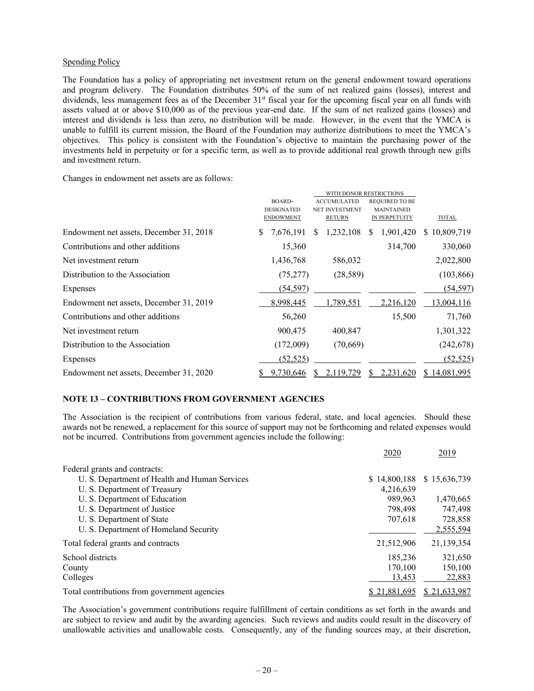#### Spending Policy

The Foundation has a policy of appropriating net investment return on the general endowment toward operations and program delivery. The Foundation distributes 50% of the sum of net realized gains (losses), interest and dividends, less management fees as of the December 31<sup>st</sup> fiscal year for the upcoming fiscal year on all funds with assets valued at or above \$10,000 as of the previous year-end date. If the sum of net realized gains (losses) and interest and dividends is less than zero, no distribution will be made. However, in the event that the YMCA is unable to fulfill its current mission, the Board of the Foundation may authorize distributions to meet the YMCA's objectives. This policy is consistent with the Foundation's objective to maintain the purchasing power of the investments held in perpetuity or for a specific term, as well as to provide additional real growth through new gifts and investment return.

Changes in endowment net assets are as follows:

|                                         | <b>BOARD-</b><br><b>ACCUMULATED</b> |                       | <b>REQUIRED TO BE</b> |              |
|-----------------------------------------|-------------------------------------|-----------------------|-----------------------|--------------|
|                                         | <b>DESIGNATED</b>                   | <b>NET INVESTMENT</b> | <b>MAINTAINED</b>     |              |
|                                         | <b>ENDOWMENT</b>                    | <b>RETURN</b>         | IN PERPETUITY         | <b>TOTAL</b> |
| Endowment net assets, December 31, 2018 | S<br>7,676,191                      | 1,232,108<br>S        | 1,901,420<br><b>S</b> | \$10,809,719 |
| Contributions and other additions       | 15,360                              |                       | 314,700               | 330,060      |
| Net investment return                   | 1,436,768                           | 586,032               |                       | 2,022,800    |
| Distribution to the Association         | (75, 277)                           | (28, 589)             |                       | (103, 866)   |
| Expenses                                | (54, 597)                           |                       |                       | (54, 597)    |
| Endowment net assets, December 31, 2019 | 8,998,445                           | 1,789,551             | 2,216,120             | 13,004,116   |
| Contributions and other additions       | 56,260                              |                       | 15,500                | 71,760       |
| Net investment return                   | 900,475                             | 400,847               |                       | 1,301,322    |
| Distribution to the Association         | (172,009)                           | (70,669)              |                       | (242, 678)   |
| Expenses                                | (52, 525)                           |                       |                       | (52, 525)    |
| Endowment net assets, December 31, 2020 | 9,730,646                           | 2.119.729             | 2.231.620             | \$14,081,995 |

#### **NOTE 13 – CONTRIBUTIONS FROM GOVERNMENT AGENCIES**

The Association is the recipient of contributions from various federal, state, and local agencies. Should these awards not be renewed, a replacement for this source of support may not be forthcoming and related expenses would not be incurred. Contributions from government agencies include the following:

|                                               | 2020         | 2019         |
|-----------------------------------------------|--------------|--------------|
| Federal grants and contracts:                 |              |              |
| U. S. Department of Health and Human Services | \$14,800,188 | \$15,636,739 |
| U. S. Department of Treasury                  | 4,216,639    |              |
| U. S. Department of Education                 | 989.963      | 1,470,665    |
| U. S. Department of Justice                   | 798,498      | 747,498      |
| U. S. Department of State                     | 707,618      | 728,858      |
| U. S. Department of Homeland Security         |              | 2,555,594    |
| Total federal grants and contracts            | 21,512,906   | 21,139,354   |
| School districts                              | 185,236      | 321,650      |
| County                                        | 170.100      | 150,100      |
| Colleges                                      | 13,453       | 22,883       |
| Total contributions from government agencies  | \$21.881.695 | \$21,633,987 |

The Association's government contributions require fulfillment of certain conditions as set forth in the awards and are subject to review and audit by the awarding agencies. Such reviews and audits could result in the discovery of unallowable activities and unallowable costs. Consequently, any of the funding sources may, at their discretion,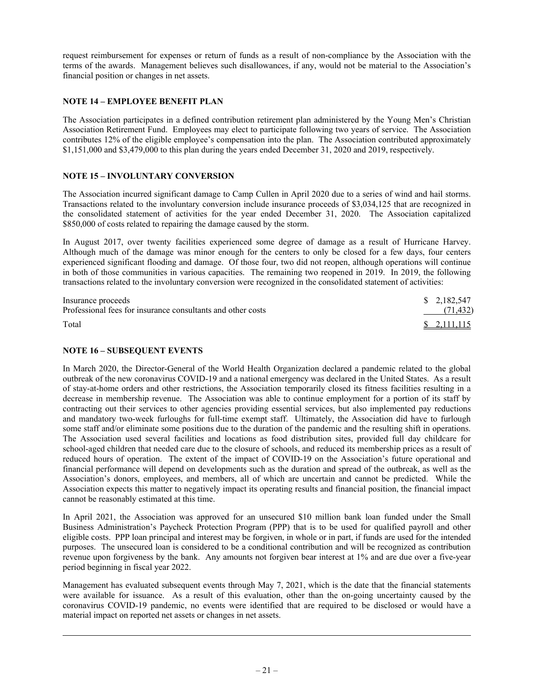request reimbursement for expenses or return of funds as a result of non-compliance by the Association with the terms of the awards. Management believes such disallowances, if any, would not be material to the Association's financial position or changes in net assets.

### **NOTE 14 – EMPLOYEE BENEFIT PLAN**

The Association participates in a defined contribution retirement plan administered by the Young Men's Christian Association Retirement Fund. Employees may elect to participate following two years of service. The Association contributes 12% of the eligible employee's compensation into the plan. The Association contributed approximately \$1,151,000 and \$3,479,000 to this plan during the years ended December 31, 2020 and 2019, respectively.

### **NOTE 15 – INVOLUNTARY CONVERSION**

The Association incurred significant damage to Camp Cullen in April 2020 due to a series of wind and hail storms. Transactions related to the involuntary conversion include insurance proceeds of \$3,034,125 that are recognized in the consolidated statement of activities for the year ended December 31, 2020. The Association capitalized \$850,000 of costs related to repairing the damage caused by the storm.

In August 2017, over twenty facilities experienced some degree of damage as a result of Hurricane Harvey. Although much of the damage was minor enough for the centers to only be closed for a few days, four centers experienced significant flooding and damage. Of those four, two did not reopen, although operations will continue in both of those communities in various capacities. The remaining two reopened in 2019. In 2019, the following transactions related to the involuntary conversion were recognized in the consolidated statement of activities:

| Insurance proceeds                                          | \$ 2.182.547                |
|-------------------------------------------------------------|-----------------------------|
| Professional fees for insurance consultants and other costs | (71, 432)                   |
| Total                                                       | $\frac{1}{2}$ , 2, 111, 115 |

### **NOTE 16 – SUBSEQUENT EVENTS**

In March 2020, the Director-General of the World Health Organization declared a pandemic related to the global outbreak of the new coronavirus COVID-19 and a national emergency was declared in the United States. As a result of stay-at-home orders and other restrictions, the Association temporarily closed its fitness facilities resulting in a decrease in membership revenue. The Association was able to continue employment for a portion of its staff by contracting out their services to other agencies providing essential services, but also implemented pay reductions and mandatory two-week furloughs for full-time exempt staff. Ultimately, the Association did have to furlough some staff and/or eliminate some positions due to the duration of the pandemic and the resulting shift in operations. The Association used several facilities and locations as food distribution sites, provided full day childcare for school-aged children that needed care due to the closure of schools, and reduced its membership prices as a result of reduced hours of operation. The extent of the impact of COVID-19 on the Association's future operational and financial performance will depend on developments such as the duration and spread of the outbreak, as well as the Association's donors, employees, and members, all of which are uncertain and cannot be predicted. While the Association expects this matter to negatively impact its operating results and financial position, the financial impact cannot be reasonably estimated at this time.

In April 2021, the Association was approved for an unsecured \$10 million bank loan funded under the Small Business Administration's Paycheck Protection Program (PPP) that is to be used for qualified payroll and other eligible costs. PPP loan principal and interest may be forgiven, in whole or in part, if funds are used for the intended purposes. The unsecured loan is considered to be a conditional contribution and will be recognized as contribution revenue upon forgiveness by the bank. Any amounts not forgiven bear interest at 1% and are due over a five-year period beginning in fiscal year 2022.

Management has evaluated subsequent events through May 7, 2021, which is the date that the financial statements were available for issuance. As a result of this evaluation, other than the on-going uncertainty caused by the coronavirus COVID-19 pandemic, no events were identified that are required to be disclosed or would have a material impact on reported net assets or changes in net assets.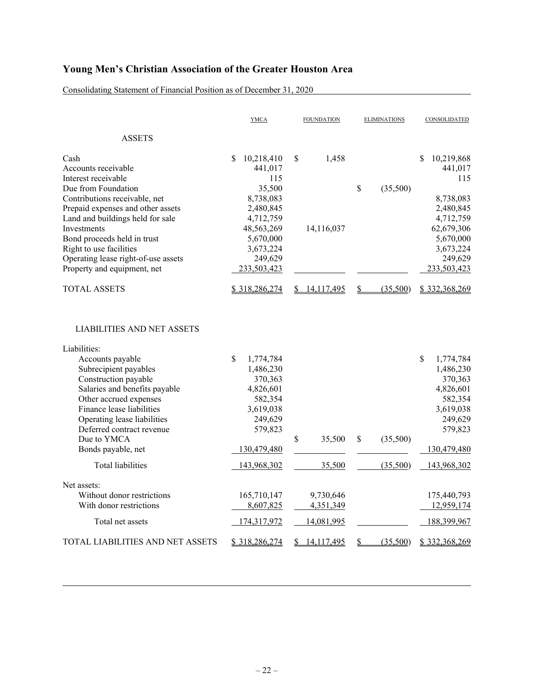Consolidating Statement of Financial Position as of December 31, 2020

|                                                                                                                                                                                                                                       | <b>YMCA</b>                                                                                                  | <b>FOUNDATION</b>      | <b>ELIMINATIONS</b> | CONSOLIDATED                                                                                                 |
|---------------------------------------------------------------------------------------------------------------------------------------------------------------------------------------------------------------------------------------|--------------------------------------------------------------------------------------------------------------|------------------------|---------------------|--------------------------------------------------------------------------------------------------------------|
| <b>ASSETS</b>                                                                                                                                                                                                                         |                                                                                                              |                        |                     |                                                                                                              |
| Cash<br>Accounts receivable<br>Interest receivable<br>Due from Foundation<br>Contributions receivable, net                                                                                                                            | \$<br>10,218,410<br>441,017<br>115<br>35,500<br>8,738,083                                                    | \$<br>1,458            | \$<br>(35,500)      | \$<br>10,219,868<br>441,017<br>115<br>8,738,083                                                              |
| Prepaid expenses and other assets<br>Land and buildings held for sale<br><b>Investments</b><br>Bond proceeds held in trust<br>Right to use facilities<br>Operating lease right-of-use assets<br>Property and equipment, net           | 2,480,845<br>4,712,759<br>48,563,269<br>5,670,000<br>3,673,224<br>249,629<br>233,503,423                     | 14,116,037             |                     | 2,480,845<br>4,712,759<br>62,679,306<br>5,670,000<br>3,673,224<br>249,629<br>233,503,423                     |
| <b>TOTAL ASSETS</b>                                                                                                                                                                                                                   | \$318,286,274                                                                                                | \$14,117,495           | (35,500)<br>\$      | \$332,368,269                                                                                                |
| <b>LIABILITIES AND NET ASSETS</b>                                                                                                                                                                                                     |                                                                                                              |                        |                     |                                                                                                              |
| Liabilities:<br>Accounts payable<br>Subrecipient payables<br>Construction payable<br>Salaries and benefits payable<br>Other accrued expenses<br>Finance lease liabilities<br>Operating lease liabilities<br>Deferred contract revenue | $\mathbb{S}$<br>1,774,784<br>1,486,230<br>370,363<br>4,826,601<br>582,354<br>3,619,038<br>249,629<br>579,823 |                        |                     | $\mathbb{S}$<br>1,774,784<br>1,486,230<br>370,363<br>4,826,601<br>582,354<br>3,619,038<br>249,629<br>579,823 |
| Due to YMCA<br>Bonds payable, net                                                                                                                                                                                                     | 130,479,480                                                                                                  | \$<br>35,500           | \$<br>(35,500)      | 130,479,480                                                                                                  |
| Total liabilities                                                                                                                                                                                                                     | 143,968,302                                                                                                  | 35,500                 | (35,500)            | 143,968,302                                                                                                  |
| Net assets:<br>Without donor restrictions<br>With donor restrictions                                                                                                                                                                  | 165,710,147<br>8,607,825                                                                                     | 9,730,646<br>4,351,349 |                     | 175,440,793<br>12,959,174                                                                                    |
| Total net assets                                                                                                                                                                                                                      | 174,317,972                                                                                                  | 14,081,995             |                     | 188,399,967                                                                                                  |
| TOTAL LIABILITIES AND NET ASSETS                                                                                                                                                                                                      | \$318,286,274                                                                                                | 14,117,495<br>S.       | (35,500)<br>\$      | \$332,368,269                                                                                                |